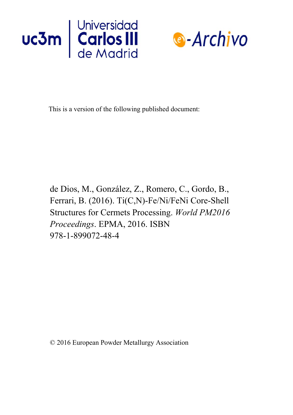



This is a version of the following published document:

d[e Dios, M., González, Z.,](https://doi.org/10.1016/j.is.2017.09.002) Romero, C., Gordo, B., Ferrari, B. (2016). Ti(C,N)-Fe/Ni/FeNi Core-Shell Structures for Cermets Processing. *World PM2016 Proceedings*. EPMA, 2016. ISBN 978-1-899072-48-4

© 2016 European Powder Metallurgy Association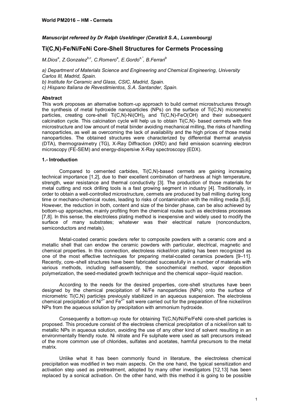# *Manuscript refereed by Dr Ralph Useldinger (Ceratizit S.A., Luxembourg)*

# **Ti(C,N)-Fe/Ni/FeNi Core-Shell Structures for Cermets Processing**

*M.Dios<sup>a</sup> , Z.Gonzalezb,c , C.Romero<sup>a</sup> , E.Gordoa,\*, B.Ferrari<sup>b</sup>*

*a) Department of Materials Science and Engineering and Chemical Engineering, University Carlos III, Madrid, Spain. b) Institute for Ceramic and Glass, CSIC, Madrid, Spain. c) Hispano Italiana de Revestimientos, S.A. Santander, Spain.*

## **Abstract**

This work proposes an alternative bottom-up approach to build cermet microstructures through the synthesis of metal hydroxide nanoparticles (NPs) on the surface of  $Ti(C, N)$  micrometric particles, creating core-shell  $Ti(C,N)$ -Ni $(OH)_2$  and  $Ti(C,N)$ -FeO(OH) and their subsequent calcination cycle. This calcination cycle will help us to obtain Ti(C,N)- based cermets with fine microstructure and low amount of metal binder avoiding mechanical milling, the risks of handling nanoparticles, as well as overcoming the lack of availability and the high prices of those metal nanoparticles. The obtained structures were characterized by differential thermal analysis (DTA), thermogravimetry (TG), X-Ray Diffraction (XRD) and field emission scanning electron microscopy (FE-SEM) and energy-dispersive X-Ray spectroscopy (EDX).

## **1.- Introduction**

Compared to cemented carbides, Ti(C,N)-based cermets are gaining increasing technical importance [1,2], due to their excellent combination of hardness at high temperature, strength, wear resistance and thermal conductivity [3]. The production of those materials for metal cutting and rock drilling tools is a fast growing segment in industry [4]. Traditionally, in order to obtain a well-controlled microstructure, cermets are produced by ball milling during long time or mechano-chemical routes, leading to risks of contamination with the milling media [5,6]. However, the reduction in both, content and size of the binder phase, can be also achieved by bottom-up approaches, mainly profiting from the chemical routes such as electroless processes [7,8]. In this sense, the electroless plating method is inexpensive and widely used to modify the surface of many substrates; whatever was their electrical nature (nonconductors, semiconductors and metals).

Metal-coated ceramic powders refer to composite powders with a ceramic core and a metallic shell that can endow the ceramic powders with particular, electrical, magnetic and chemical properties. In this connection, electroless nickel/iron plating has been recognized as one of the most effective techniques for preparing metal-coated ceramics powders [9–11]. Recently, core–shell structures have been fabricated successfully in a number of materials with various methods, including self-assembly, the sonochemical method, vapor deposition polymerization, the seed-mediated growth technique and the chemical vapor–liquid reaction.

According to the needs for the desired properties, core-shell structures have been designed by the chemical precipitation of Ni/Fe nanoparticles (NPs) onto the surface of micrometric Ti(C,N) particles previously stabilized in an aqueous suspension. The electroless chemical precipitation of Ni<sup>2+</sup> and Fe<sup>2+</sup> salt were carried out for the preparation of fine nickel/iron NPs from the aqueous solution by precipitation with ammonium hydroxide.

Consequently a bottom-up route for obtaining Ti(C,N)/Ni/Fe/FeNi core-shell particles is proposed. This procedure consist of the electroless chemical precipitation of a nickel/iron salt to metallic NPs in aqueous solution, avoiding the use of any other kind of solvent resulting in an environmentally friendly route. Ni nitrate and Fe sulphate were used as salt precursors instead of the more common use of chlorides, sulfates and acetates, harmful precursors to the metal matrix.

Unlike what it has been commonly found in literature, the electroless chemical precipitation was modified in two main aspects. On the one hand, the typical sensitization and activation step used as pretreatment, adopted by many other investigators [12,13] has been replaced by a sonical activation. On the other hand, with this method it is going to be possible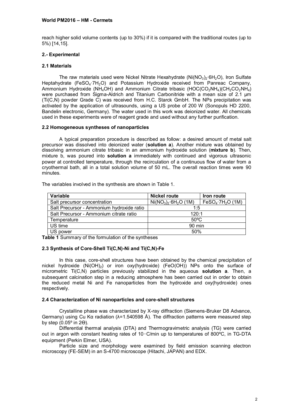## **World PM2016 – HM - Cermets**

reach higher solid volume contents (up to 30%) if it is compared with the traditional routes (up to 5%) [14,15].

## **2.- Experimental**

## **2.1 Materials**

The raw materials used were Nickel Nitrate Hexahydrate ( $Ni(NO<sub>3</sub>)<sub>2</sub>·6H<sub>2</sub>O$ ), Iron Sulfate Heptahydrate (FeSO<sub>4</sub>·7H<sub>2</sub>O) and Potassium Hydroxide received from Panreac Company, Ammonium Hydroxide (NH<sub>4</sub>OH) and Ammonium Citrate tribasic (HOC(CO<sub>2</sub>NH<sub>4</sub>)(CH<sub>2</sub>CO<sub>2</sub>NH<sub>4</sub>) were purchased from Sigma-Aldrich and Titanium Carbonitride with a mean size of 2.1 um  $(Ti(C,N)$  powder Grade  $\tilde{C}$ ) was received from H.C. Starck GmbH. The NPs precipitation was activated by the application of ultrasounds, using a US probe of 200 W (Sonopuls HD 2200, Bandelin electronic, Germany). The water used in this work was deionized water. All chemicals used in these experiments were of reagent grade and used without any further purification.

## **2.2 Homogeneous syntheses of nanoparticles**

A typical preparation procedure is described as follow: a desired amount of metal salt precursor was dissolved into deionized water (**solution a**). Another mixture was obtained by dissolving ammonium citrate tribasic in an ammonium hydroxide solution (**mixture b**). Then, mixture b, was poured into **solution a** immediately with continued and vigorous ultrasonic power at controlled temperature, through the recirculation of a continuous flow of water from a cryothermal bath, all in a total solution volume of 50 mL. The overall reaction times were 90 minutes.

| The variables involved in the synthesis are shown in Table 1. |  |  |  |  |  |  |
|---------------------------------------------------------------|--|--|--|--|--|--|
|---------------------------------------------------------------|--|--|--|--|--|--|

| Variable                                  | <b>Nickel route</b> | <b>Iron route</b>                        |  |
|-------------------------------------------|---------------------|------------------------------------------|--|
| Salt precursor concentration              | $Ni(NO3)2·6H2O(1M)$ | FeSO <sub>4</sub> ·7H <sub>2</sub> O(1M) |  |
| Salt Precursor - Ammonium hydroxide ratio | 1:5                 |                                          |  |
| Salt Precursor - Ammonium citrate ratio   | 120:1               |                                          |  |
| Temperature                               | $50^{\circ}$ C      |                                          |  |
| US time                                   | 90 min              |                                          |  |
| US power                                  | 50%                 |                                          |  |

**Table 1** Summary of the formulation of the syntheses

### **2.3 Synthesis of Core-Shell Ti(C,N)-Ni and Ti(C,N)-Fe**

In this case, core-shell structures have been obtained by the chemical precipitation of nickel hydroxide (Ni(OH)2) or iron oxy(hydroxide) (FeO(OH)) NPs onto the surface of micrometric Ti(C,N) particles previously stabilized in the aqueous **solution a**. Then, a subsequent calcination step in a reducing atmosphere has been carried out in order to obtain the reduced metal Ni and Fe nanoparticles from the hydroxide and oxy(hydroxide) ones respectively.

#### **2.4 Characterization of Ni nanoparticles and core-shell structures**

Crystalline phase was characterized by X-ray diffraction (Siemens-Bruker D8 Advance, Germany) using Cu Kα radiation (λ=1.540598 Å). The diffraction patterns were measured step by step  $(0.05^\circ)$  in 2 $\Theta$ ).

Differential thermal analysis (DTA) and Thermogravimetric analysis (TG) were carried out in argon with constant heating rates of 10◦C/min up to temperatures of 800ºC, in TG-DTA equipment (Perkin Elmer, USA).

Particle size and morphology were examined by field emission scanning electron microscopy (FE-SEM) in an S-4700 microscope (Hitachi, JAPAN) and EDX.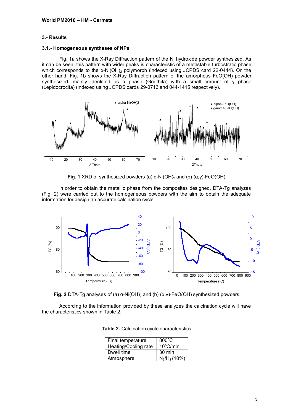## **3.- Results**

#### **3.1.- Homogeneous syntheses of NPs**

Fig. 1a shows the X-Ray Diffraction pattern of the Ni hydroxide powder synthesized. As it can be seen, this pattern with wider peaks is characteristic of a metastable turbostratic phase which corresponds to the  $\alpha$ -Ni(OH)<sub>2</sub> polymorph (indexed using JCPDS card 22-0444). On the other hand, Fig. 1b shows the X-Ray Diffraction pattern of the amorphous FeO(OH) powder synthesized, mainly identified as  $\alpha$  phase (Goethita) with a small amount of y phase (Lepidocrocita) (indexed using JCPDS cards 29-0713 and 044-1415 respectively).



**Fig. 1** XRD of synthesized powders (a)  $\alpha$ -Ni(OH)<sub>2</sub> and (b) ( $\alpha$ ,  $\gamma$ )-FeO(OH)

In order to obtain the metallic phase from the composites designed, DTA-Tg analyzes (Fig. 2) were carried out to the homogeneous powders with the aim to obtain the adequate information for design an accurate calcination cycle.





According to the information provided by these analyzes the calcination cycle will have the characteristics shown in Table 2.

| Final temperature    | $800\degree C$     |  |  |
|----------------------|--------------------|--|--|
| Heating/Cooling rate | $10^{\circ}$ C/min |  |  |
| Dwell time           | $30 \text{ min}$   |  |  |
| Atmosphere           | $N_2/H_2$ (10%)    |  |  |

|  |  |  |  |  | Table 2. Calcination cycle characteristics |
|--|--|--|--|--|--------------------------------------------|
|--|--|--|--|--|--------------------------------------------|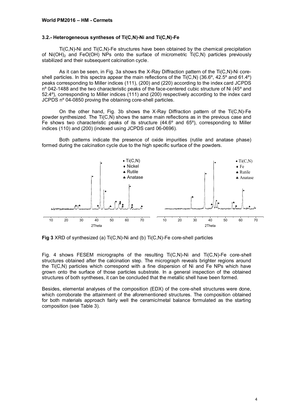#### **3.2.- Heterogeneous syntheses of Ti(C,N)-Ni and Ti(C,N)-Fe**

Ti(C,N)-Ni and Ti(C,N)-Fe structures have been obtained by the chemical precipitation of  $Ni(OH)<sub>2</sub>$  and FeO(OH) NPs onto the surface of micrometric Ti(C,N) particles previously stabilized and their subsequent calcination cycle.

As it can be seen, in Fig. 3a shows the X-Ray Diffraction pattern of the Ti(C,N)-Ni coreshell particles. In this spectra appear the main reflections of the Ti(C,N) (36.6º, 42.5º and 61.4º) peaks corresponding to Miller indices (111), (200) and (220) according to the index card JCPDS nº 042-1488 and the two characteristic peaks of the face-centered cubic structure of Ni (45º and 52.4º), corresponding to Miller indices (111) and (200) respectively according to the index card JCPDS nº 04-0850 proving the obtaining core-shell particles.

On the other hand, Fig. 3b shows the X-Ray Diffraction pattern of the Ti(C,N)-Fe powder synthesized. The Ti(C,N) shows the same main reflections as in the previous case and Fe shows two characteristic peaks of its structure (44.6º and 65º), corresponding to Miller indices (110) and (200) (indexed using JCPDS card 06-0696).

Both patterns indicate the presence of oxide impurities (rutile and anatase phase) formed during the calcination cycle due to the high specific surface of the powders.



**Fig 3** XRD of synthesized (a) Ti(C,N)-Ni and (b) Ti(C,N)-Fe core-shell particles

Fig. 4 shows FESEM micrographs of the resulting Ti(C,N)-Ni and Ti(C,N)-Fe core-shell structures obtained after the calcination step. The micrograph reveals brighter regions around the Ti(C,N) particles which correspond with a fine dispersion of Ni and Fe NPs which have grown onto the surface of those particles substrate. In a general inspection of the obtained structures of both syntheses, it can be concluded that the metallic shell have been formed.

Besides, elemental analyses of the composition (EDX) of the core-shell structures were done, which corroborate the attainment of the aforementioned structures. The composition obtained for both materials approach fairly well the ceramic/metal balance formulated as the starting composition (see Table 3).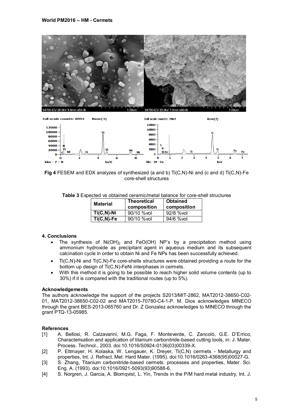



**Fig 4** FESEM and EDX analyzes of synthesized (a and b) Ti(C,N)-Ni and (c and d) Ti(C,N)-Fe core-shell structures

| Table 3 Expected vs obtained ceramic/metal balance for core-shell structures |  |  |  |  |
|------------------------------------------------------------------------------|--|--|--|--|
|------------------------------------------------------------------------------|--|--|--|--|

| <b>Material</b> | <b>Theoretical</b><br>composition | <b>Obtained</b><br>composition |
|-----------------|-----------------------------------|--------------------------------|
| $Ti(C,N)$ -Ni   | 90/10 % vol                       | 92/8 % vol                     |
| $Ti(C,N)$ -Fe   | 90/10 % vol                       | 94/6 % vol                     |

### **4. Conclusions**

- The synthesis of  $Ni(OH)_{2}$  and FeO(OH) NP's by a precipitation method using ammonium hydroxide as precipitant agent in aqueous medium and its subsequent calcination cycle in order to obtain Ni and Fe NPs has been successfully achieved.
- Ti(C,N)-Ni and Ti(C,N)-Fe core-shells structures were obtained providing a route for the bottom up design of Ti(C,N)-FeNi interphases in cermets.
- With this method it is going to be possible to reach higher solid volume contents (up to 30%) if it is compared with the traditional routes (up to 5%).

#### **Acknowledgements**

The authors acknowledge the support of the projects S2013/MIT-2862, MAT2012-38650-C02- 01, MAT2012-38650-C02-02 and MAT2015-70780-C4-1-P. M. Dios acknowledges MINECO through the grant BES-2013-065760 and Dr. Z Gonzalez acknowledges to MINECO through the grant PTQ-13-05985.

## **References**

- [1] A. Bellosi, R. Calzavarini, M.G. Faga, F. Monteverde, C. Zancolò, G.E. D'Errico, Characterisation and application of titanium carbonitride-based cutting tools, in: J. Mater. Process. Technol., 2003. doi:10.1016/S0924-0136(03)00339-X.
- [2] P. Ettmayer, H. Kolaska, W. Lengauer, K. Dreyer, Ti(C,N) cermets Metallurgy and properties, Int. J. Refract. Met. Hard Mater. (1995). doi:10.1016/0263-4368(95)00027-G.
- [3] S. Zhang, Titanium carbonitride-based cermets: processes and properties, Mater. Sci. Eng. A. (1993). doi:10.1016/0921-5093(93)90588-6.
- [4] S. Norgren, J. Garcia, A. Blomqvist, L. Yin, Trends in the P/M hard metal industry, Int. J.